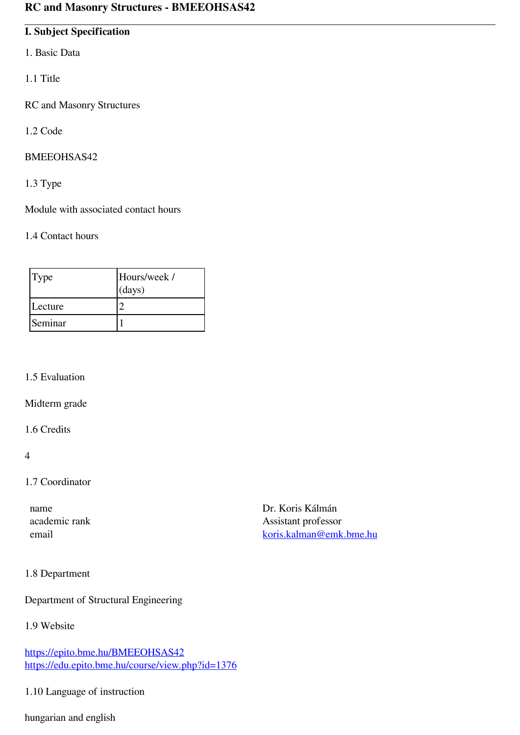# **I. Subject Specification**

- 1. Basic Data
- 1.1 Title
- RC and Masonry Structures
- 1.2 Code

#### BMEEOHSAS42

1.3 Type

Module with associated contact hours

#### 1.4 Contact hours

| Type    | Hours/week /<br>(days) |
|---------|------------------------|
| Lecture |                        |
| Seminar |                        |

### 1.5 Evaluation

Midterm grade

## 1.6 Credits

4

# 1.7 Coordinator

| name          |
|---------------|
| academic rank |
| email         |

Dr. Koris Kálmán Assistant professor [koris.kalman@emk.bme.hu](mailto:koris.kalman@emk.bme.hu)

# 1.8 Department

Department of Structural Engineering

# 1.9 Website

<https://epito.bme.hu/BMEEOHSAS42> <https://edu.epito.bme.hu/course/view.php?id=1376>

# 1.10 Language of instruction

hungarian and english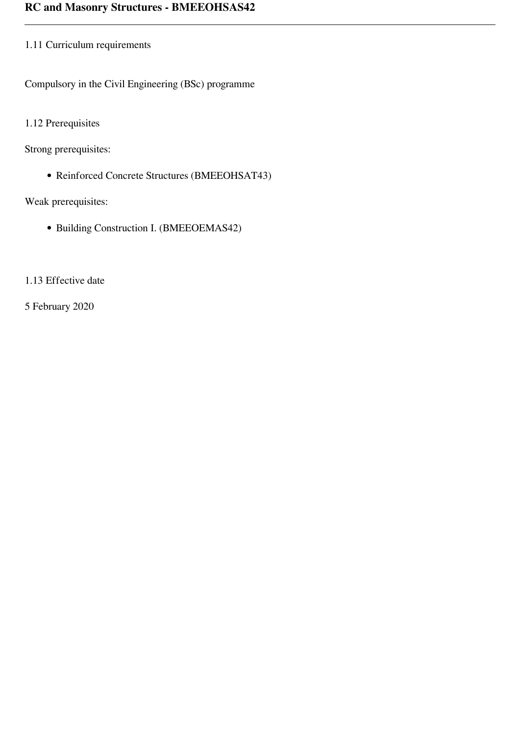# 1.11 Curriculum requirements

Compulsory in the Civil Engineering (BSc) programme

1.12 Prerequisites

Strong prerequisites:

Reinforced Concrete Structures (BMEEOHSAT43)

Weak prerequisites:

• Building Construction I. (BMEEOEMAS42)

1.13 Effective date

5 February 2020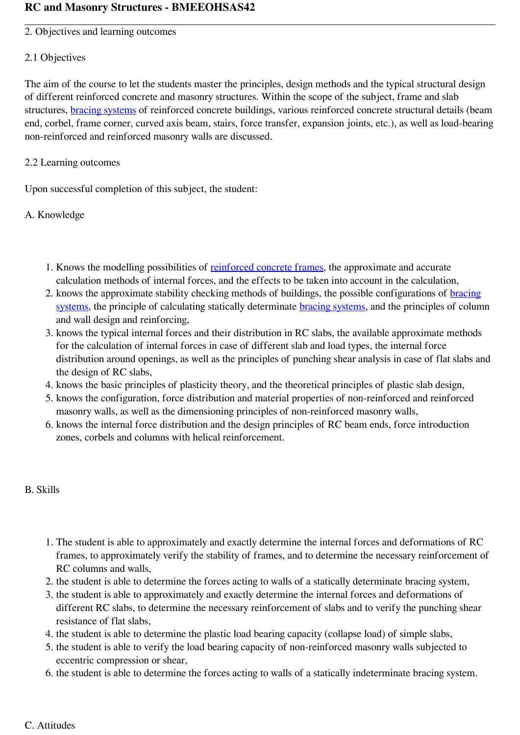2. Objectives and learning outcomes

## 2.1 Objectives

The aim of the course to let the students master the principles, design methods and the typical structural design of different reinforced concrete and masonry structures. Within the scope of the subject, frame and slab structures, [bracing systems](https://edu.epito.bme.hu/mod/resource/view.php?id=47486) of reinforced concrete buildings, various reinforced concrete structural details (beam end, corbel, frame corner, curved axis beam, stairs, force transfer, expansion joints, etc.), as well as load-bearing non-reinforced and reinforced masonry walls are discussed.

# 2.2 Learning outcomes

Upon successful completion of this subject, the student:

# A. Knowledge

- 1. Knows the modelling possibilities of [reinforced concrete frames](https://edu.epito.bme.hu/mod/resource/view.php?id=47465), the approximate and accurate calculation methods of internal forces, and the effects to be taken into account in the calculation,
- 2. knows the approximate stability checking methods of buildings, the possible configurations of [bracing](https://edu.epito.bme.hu/mod/resource/view.php?id=47486) [systems](https://edu.epito.bme.hu/mod/resource/view.php?id=47486), the principle of calculating statically determinate **[bracing systems](https://edu.epito.bme.hu/mod/resource/view.php?id=47486)**, and the principles of column and wall design and reinforcing,
- 3. knows the typical internal forces and their distribution in RC slabs, the available approximate methods for the calculation of internal forces in case of different slab and load types, the internal force distribution around openings, as well as the principles of punching shear analysis in case of flat slabs and the design of RC slabs,
- 4. knows the basic principles of plasticity theory, and the theoretical principles of plastic slab design,
- 5. knows the configuration, force distribution and material properties of non-reinforced and reinforced masonry walls, as well as the dimensioning principles of non-reinforced masonry walls,
- 6. knows the internal force distribution and the design principles of RC beam ends, force introduction zones, corbels and columns with helical reinforcement.

# B. Skills

- 1. The student is able to approximately and exactly determine the internal forces and deformations of RC frames, to approximately verify the stability of frames, and to determine the necessary reinforcement of RC columns and walls,
- 2. the student is able to determine the forces acting to walls of a statically determinate bracing system,
- 3. the student is able to approximately and exactly determine the internal forces and deformations of different RC slabs, to determine the necessary reinforcement of slabs and to verify the punching shear resistance of flat slabs,
- 4. the student is able to determine the plastic load bearing capacity (collapse load) of simple slabs,
- 5. the student is able to verify the load bearing capacity of non-reinforced masonry walls subjected to eccentric compression or shear,
- 6. the student is able to determine the forces acting to walls of a statically indeterminate bracing system.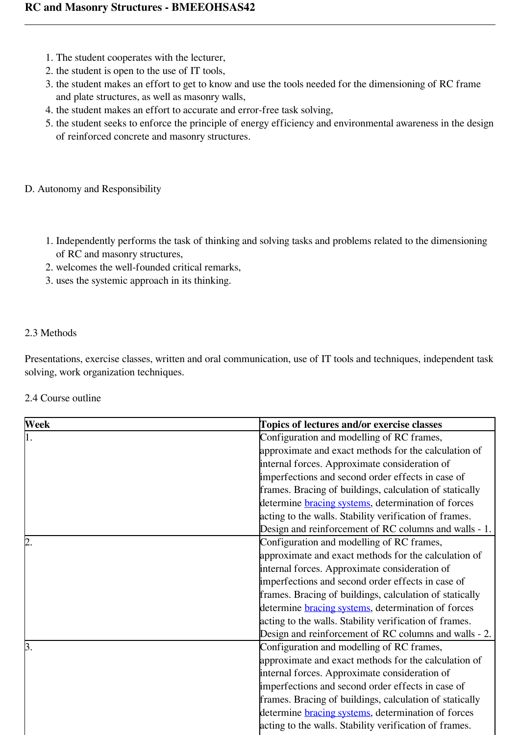- 1. The student cooperates with the lecturer,
- 2. the student is open to the use of IT tools,
- 3. the student makes an effort to get to know and use the tools needed for the dimensioning of RC frame and plate structures, as well as masonry walls,
- 4. the student makes an effort to accurate and error-free task solving,
- 5. the student seeks to enforce the principle of energy efficiency and environmental awareness in the design of reinforced concrete and masonry structures.

# D. Autonomy and Responsibility

- 1. Independently performs the task of thinking and solving tasks and problems related to the dimensioning of RC and masonry structures,
- 2. welcomes the well-founded critical remarks,
- 3. uses the systemic approach in its thinking.

# 2.3 Methods

Presentations, exercise classes, written and oral communication, use of IT tools and techniques, independent task solving, work organization techniques.

# 2.4 Course outline

| Week             | Topics of lectures and/or exercise classes                |
|------------------|-----------------------------------------------------------|
| $\overline{1}$ . | Configuration and modelling of RC frames,                 |
|                  | approximate and exact methods for the calculation of      |
|                  | internal forces. Approximate consideration of             |
|                  | imperfections and second order effects in case of         |
|                  | frames. Bracing of buildings, calculation of statically   |
|                  | determine <b>bracing</b> systems, determination of forces |
|                  | acting to the walls. Stability verification of frames.    |
|                  | Design and reinforcement of RC columns and walls - 1.     |
| 2.               | Configuration and modelling of RC frames,                 |
|                  | approximate and exact methods for the calculation of      |
|                  | internal forces. Approximate consideration of             |
|                  | imperfections and second order effects in case of         |
|                  | frames. Bracing of buildings, calculation of statically   |
|                  | determine <b>bracing</b> systems, determination of forces |
|                  | acting to the walls. Stability verification of frames.    |
|                  | Design and reinforcement of RC columns and walls - 2.     |
| 3.               | Configuration and modelling of RC frames,                 |
|                  | approximate and exact methods for the calculation of      |
|                  | internal forces. Approximate consideration of             |
|                  | imperfections and second order effects in case of         |
|                  | frames. Bracing of buildings, calculation of statically   |
|                  | determine <b>bracing</b> systems, determination of forces |
|                  | acting to the walls. Stability verification of frames.    |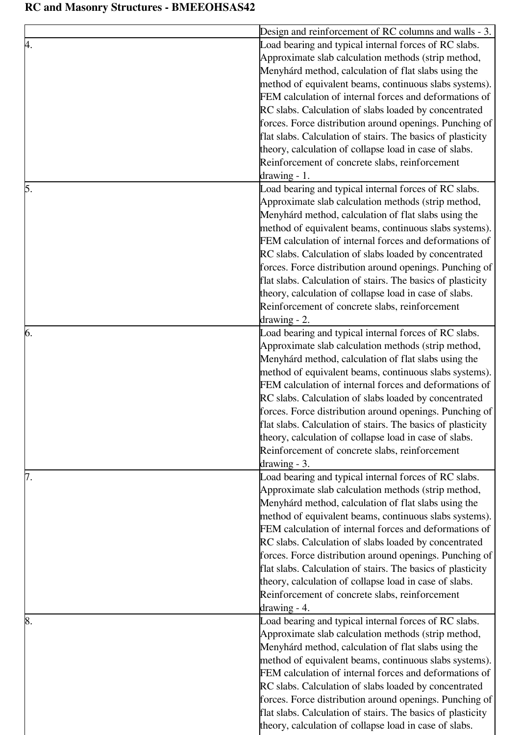|    | Design and reinforcement of RC columns and walls - 3.       |
|----|-------------------------------------------------------------|
|    | Load bearing and typical internal forces of RC slabs.       |
|    | Approximate slab calculation methods (strip method,         |
|    | Menyhárd method, calculation of flat slabs using the        |
|    | method of equivalent beams, continuous slabs systems).      |
|    | FEM calculation of internal forces and deformations of      |
|    | RC slabs. Calculation of slabs loaded by concentrated       |
|    | forces. Force distribution around openings. Punching of     |
|    | flat slabs. Calculation of stairs. The basics of plasticity |
|    | theory, calculation of collapse load in case of slabs.      |
|    | Reinforcement of concrete slabs, reinforcement              |
|    | $drawing - 1$ .                                             |
| 5. | Load bearing and typical internal forces of RC slabs.       |
|    | Approximate slab calculation methods (strip method,         |
|    | Menyhárd method, calculation of flat slabs using the        |
|    | method of equivalent beams, continuous slabs systems).      |
|    | FEM calculation of internal forces and deformations of      |
|    |                                                             |
|    | RC slabs. Calculation of slabs loaded by concentrated       |
|    | forces. Force distribution around openings. Punching of     |
|    | flat slabs. Calculation of stairs. The basics of plasticity |
|    | theory, calculation of collapse load in case of slabs.      |
|    | Reinforcement of concrete slabs, reinforcement              |
|    | $drawing - 2$ .                                             |
| 6. | Load bearing and typical internal forces of RC slabs.       |
|    | Approximate slab calculation methods (strip method,         |
|    | Menyhárd method, calculation of flat slabs using the        |
|    | method of equivalent beams, continuous slabs systems).      |
|    | FEM calculation of internal forces and deformations of      |
|    | RC slabs. Calculation of slabs loaded by concentrated       |
|    | forces. Force distribution around openings. Punching of     |
|    | flat slabs. Calculation of stairs. The basics of plasticity |
|    | theory, calculation of collapse load in case of slabs.      |
|    | Reinforcement of concrete slabs, reinforcement              |
|    | $drawing - 3$ .                                             |
|    | Load bearing and typical internal forces of RC slabs.       |
|    | Approximate slab calculation methods (strip method,         |
|    | Menyhárd method, calculation of flat slabs using the        |
|    | method of equivalent beams, continuous slabs systems).      |
|    | FEM calculation of internal forces and deformations of      |
|    | RC slabs. Calculation of slabs loaded by concentrated       |
|    | forces. Force distribution around openings. Punching of     |
|    | flat slabs. Calculation of stairs. The basics of plasticity |
|    | theory, calculation of collapse load in case of slabs.      |
|    | Reinforcement of concrete slabs, reinforcement              |
|    |                                                             |
|    | $drawing - 4.$                                              |
| 8. | Load bearing and typical internal forces of RC slabs.       |
|    | Approximate slab calculation methods (strip method,         |
|    | Menyhárd method, calculation of flat slabs using the        |
|    | method of equivalent beams, continuous slabs systems).      |
|    | FEM calculation of internal forces and deformations of      |
|    | RC slabs. Calculation of slabs loaded by concentrated       |
|    | forces. Force distribution around openings. Punching of     |
|    | flat slabs. Calculation of stairs. The basics of plasticity |
|    | theory, calculation of collapse load in case of slabs.      |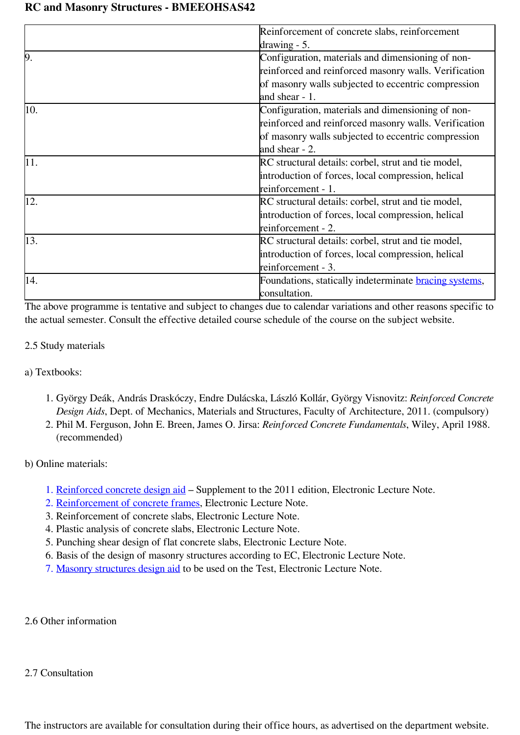|     | Reinforcement of concrete slabs, reinforcement                |
|-----|---------------------------------------------------------------|
|     | $\frac{1}{2}$ drawing - 5.                                    |
| þ.  | Configuration, materials and dimensioning of non-             |
|     | reinforced and reinforced masonry walls. Verification         |
|     | of masonry walls subjected to eccentric compression           |
|     | and shear $-1$ .                                              |
| 10. | Configuration, materials and dimensioning of non-             |
|     | reinforced and reinforced masonry walls. Verification         |
|     | of masonry walls subjected to eccentric compression           |
|     | and shear - 2.                                                |
| 11. | RC structural details: corbel, strut and tie model,           |
|     | introduction of forces, local compression, helical            |
|     | reinforcement - 1.                                            |
| 12. | RC structural details: corbel, strut and tie model,           |
|     | introduction of forces, local compression, helical            |
|     | reinforcement - 2.                                            |
| 13. | RC structural details: corbel, strut and tie model,           |
|     | introduction of forces, local compression, helical            |
|     | reinforcement - 3.                                            |
| 14. | Foundations, statically indeterminate <b>bracing</b> systems, |
|     | consultation.                                                 |

The above programme is tentative and subject to changes due to calendar variations and other reasons specific to the actual semester. Consult the effective detailed course schedule of the course on the subject website.

# 2.5 Study materials

a) Textbooks:

- 1. György Deák, András Draskóczy, Endre Dulácska, László Kollár, György Visnovitz: *Reinforced Concrete Design Aids*, Dept. of Mechanics, Materials and Structures, Faculty of Architecture, 2011. (compulsory)
- 2. Phil M. Ferguson, John E. Breen, James O. Jirsa: *Reinforced Concrete Fundamentals*, Wiley, April 1988. (recommended)

b) Online materials:

- 1. [Reinforced concrete design aid](https://edu.epito.bme.hu/mod/resource/view.php?id=71726)  Supplement to the 2011 edition, Electronic Lecture Note.
- 2. [Reinforcement of concrete frames,](https://edu.epito.bme.hu/mod/resource/view.php?id=25043) Electronic Lecture Note.
- 3. Reinforcement of concrete slabs, Electronic Lecture Note.
- 4. Plastic analysis of concrete slabs, Electronic Lecture Note.
- 5. Punching shear design of flat concrete slabs, Electronic Lecture Note.
- 6. Basis of the design of masonry structures according to EC, Electronic Lecture Note.
- 7. [Masonry structures design aid](https://edu.epito.bme.hu/mod/resource/view.php?id=24480) to be used on the Test, Electronic Lecture Note.

2.6 Other information

#### 2.7 Consultation

The instructors are available for consultation during their office hours, as advertised on the department website.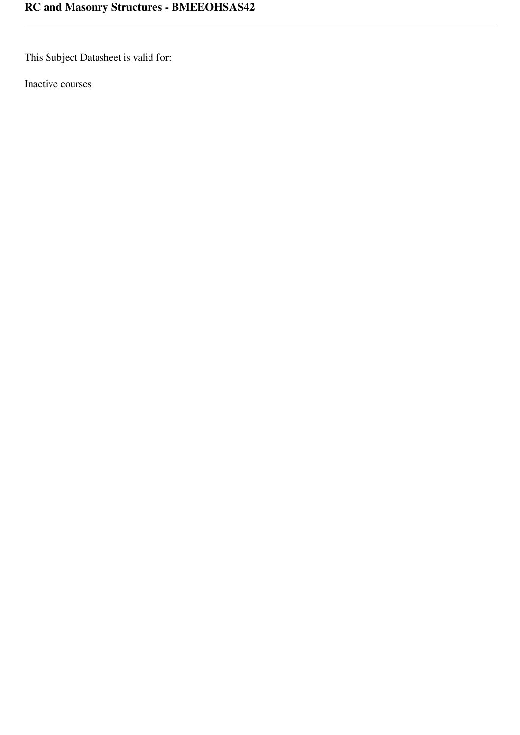This Subject Datasheet is valid for:

Inactive courses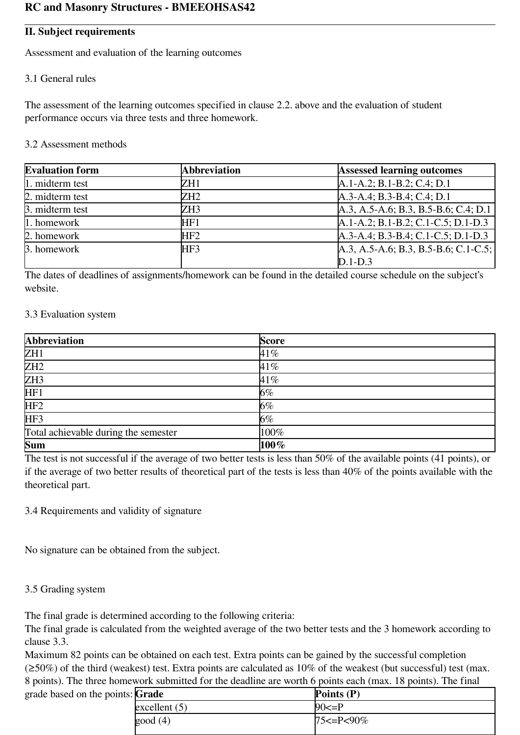## **II. Subject requirements**

Assessment and evaluation of the learning outcomes

## 3.1 General rules

The assessment of the learning outcomes specified in clause 2.2. above and the evaluation of student performance occurs via three tests and three homework.

#### 3.2 Assessment methods

| <b>Evaluation form</b> | <b>Abbreviation</b> | <b>Assessed learning outcomes</b>      |
|------------------------|---------------------|----------------------------------------|
| 1. midterm test        | ZH1                 | $A.1-A.2; B.1-B.2; C.4; D.1$           |
| 2. midterm test        | ZH2                 | $A.3-A.4$ ; B.3-B.4; C.4; D.1          |
| 3. midterm test        | ZH3                 | $A.3, A.5-A.6; B.3, B.5-B.6; C.4; D.1$ |
| 1. homework            | HF1                 | $A.1-A.2$ ; B.1-B.2; C.1-C.5; D.1-D.3  |
| 2. homework            | HF2                 | A.3-A.4; B.3-B.4; C.1-C.5; D.1-D.3     |
| 3. homework            | HF3                 | $A.3, A.5-A.6; B.3, B.5-B.6; C.1-C.5;$ |
|                        |                     | $D.1-D.3$                              |

The dates of deadlines of assignments/homework can be found in the detailed course schedule on the subject's website.

#### 3.3 Evaluation system

| <b>Abbreviation</b>                  | <b>Score</b> |
|--------------------------------------|--------------|
| ZH <sub>1</sub>                      | 41%          |
| ZH2                                  | 41%          |
| ZH <sub>3</sub>                      | 41%          |
| HF1                                  | $6\%$        |
| HF <sub>2</sub>                      | $6\%$        |
| HF3                                  | $6\%$        |
| Total achievable during the semester | 100%         |
| <b>Sum</b>                           | $100\%$      |

The test is not successful if the average of two better tests is less than 50% of the available points (41 points), or if the average of two better results of theoretical part of the tests is less than 40% of the points available with the theoretical part.

3.4 Requirements and validity of signature

No signature can be obtained from the subject.

#### 3.5 Grading system

The final grade is determined according to the following criteria:

The final grade is calculated from the weighted average of the two better tests and the 3 homework according to clause 3.3.

Maximum 82 points can be obtained on each test. Extra points can be gained by the successful completion  $(\geq 50\%)$  of the third (weakest) test. Extra points are calculated as 10% of the weakest (but successful) test (max. 8 points). The three homework submitted for the deadline are worth 6 points each (max. 18 points). The final grade based on the points: **Grade Points (P)**

| nts: Grade      | Points $(P)$        |
|-----------------|---------------------|
| excellent $(5)$ | $90 \le P$          |
| good(4)         | $75 \le P \le 90\%$ |